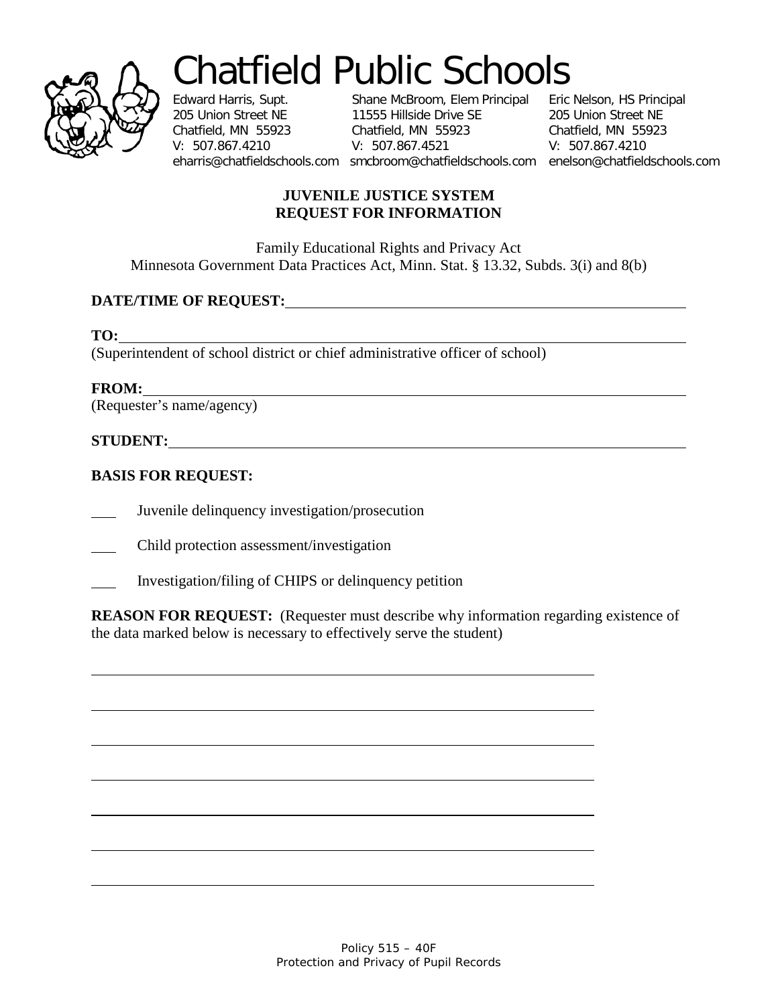

# Chatfield Public Schools<br>Edward Harris, Supt. Shane McBroom, Elem Principal Eric Nelson, HS Principal

Edward Harris, Supt. Shane McBroom, Elem Principal Eric Nelson, HS Principal 205 Union Street NE 11555 Hillside Drive SE 205 Union Street NE Chatfield, MN 55923 Chatfield, MN 55923 Chatfield, MN 55923 V: 507.867.4210 V: 507.867.4521 V: 507.867.4210 eharris@chatfieldschools.com smcbroom@chatfieldschools.com enelson@chatfieldschools.com

#### **JUVENILE JUSTICE SYSTEM REQUEST FOR INFORMATION**

Family Educational Rights and Privacy Act Minnesota Government Data Practices Act, Minn. Stat. § 13.32, Subds. 3(i) and 8(b)

## **DATE/TIME OF REQUEST:**

**TO:**

(Superintendent of school district or chief administrative officer of school)

**FROM:**

(Requester's name/agency)

### **STUDENT:**

## **BASIS FOR REQUEST:**

Juvenile delinquency investigation/prosecution

Child protection assessment/investigation

Investigation/filing of CHIPS or delinquency petition

**REASON FOR REQUEST:** (Requester must describe why information regarding existence of the data marked below is necessary to effectively serve the student)